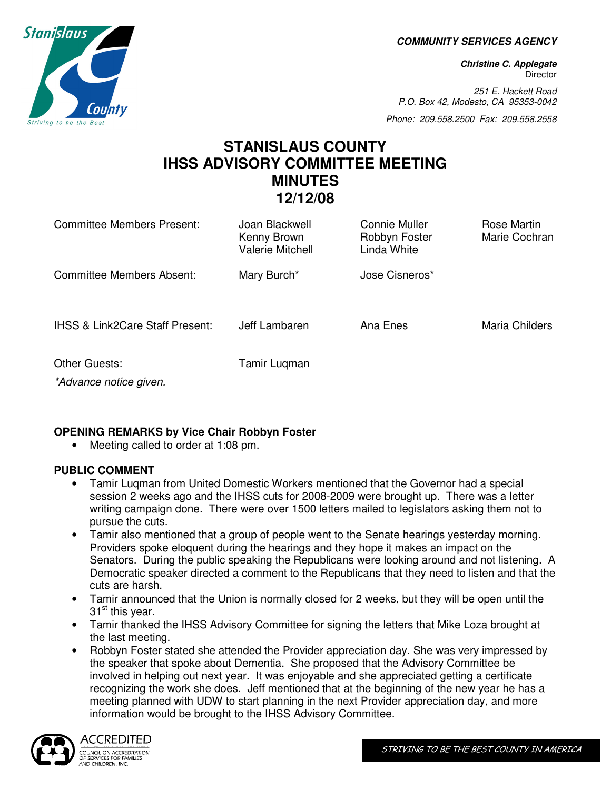**COMMUNITY SERVICES AGENCY** 

**Christine C. Applegate Director** 

251 E. Hackett Road P.O. Box 42, Modesto, CA 95353-0042

Phone: 209.558.2500 Fax: 209.558.2558

# **STANISLAUS COUNTY IHSS ADVISORY COMMITTEE MEETING MINUTES 12/12/08**

| Committee Members Present:                     | Joan Blackwell<br>Kenny Brown<br><b>Valerie Mitchell</b> | Connie Muller<br>Robbyn Foster<br>Linda White | Rose Martin<br>Marie Cochran |
|------------------------------------------------|----------------------------------------------------------|-----------------------------------------------|------------------------------|
| Committee Members Absent:                      | Mary Burch*                                              | Jose Cisneros*                                |                              |
| <b>IHSS &amp; Link2Care Staff Present:</b>     | Jeff Lambaren                                            | Ana Enes                                      | Maria Childers               |
| <b>Other Guests:</b><br>*Advance notice given. | Tamir Luqman                                             |                                               |                              |

# **OPENING REMARKS by Vice Chair Robbyn Foster**

• Meeting called to order at 1:08 pm.

# **PUBLIC COMMENT**

- Tamir Luqman from United Domestic Workers mentioned that the Governor had a special session 2 weeks ago and the IHSS cuts for 2008-2009 were brought up. There was a letter writing campaign done. There were over 1500 letters mailed to legislators asking them not to pursue the cuts.
- Tamir also mentioned that a group of people went to the Senate hearings yesterday morning. Providers spoke eloquent during the hearings and they hope it makes an impact on the Senators. During the public speaking the Republicans were looking around and not listening. A Democratic speaker directed a comment to the Republicans that they need to listen and that the cuts are harsh.
- Tamir announced that the Union is normally closed for 2 weeks, but they will be open until the  $31<sup>st</sup>$  this year.
- Tamir thanked the IHSS Advisory Committee for signing the letters that Mike Loza brought at the last meeting.
- Robbyn Foster stated she attended the Provider appreciation day. She was very impressed by the speaker that spoke about Dementia. She proposed that the Advisory Committee be involved in helping out next year. It was enjoyable and she appreciated getting a certificate recognizing the work she does. Jeff mentioned that at the beginning of the new year he has a meeting planned with UDW to start planning in the next Provider appreciation day, and more information would be brought to the IHSS Advisory Committee.